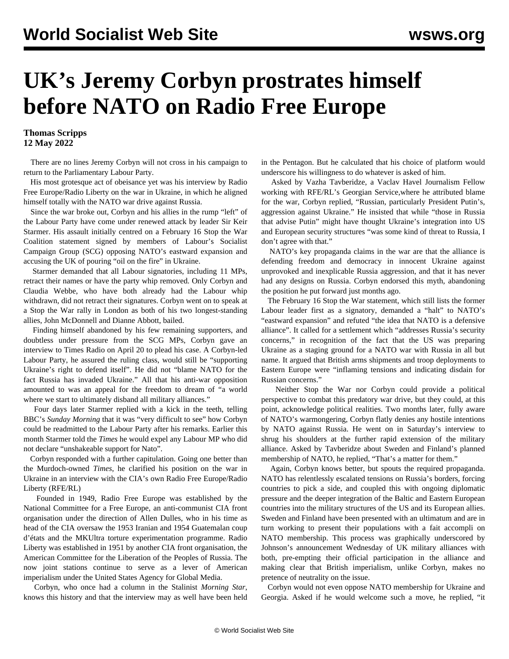## **UK's Jeremy Corbyn prostrates himself before NATO on Radio Free Europe**

## **Thomas Scripps 12 May 2022**

 There are no lines Jeremy Corbyn will not cross in his campaign to return to the Parliamentary Labour Party.

 His most grotesque act of obeisance yet was his interview by Radio Free Europe/Radio Liberty on the war in Ukraine, in which he aligned himself totally with the NATO war drive against Russia.

 Since the war broke out, Corbyn and his allies in the rump "left" of the Labour Party have come under renewed attack by leader Sir Keir Starmer. His assault initially centred on a February 16 Stop the War Coalition statement signed by members of Labour's Socialist Campaign Group (SCG) opposing NATO's eastward expansion and accusing the UK of pouring "oil on the fire" in Ukraine.

 Starmer demanded that all Labour signatories, including 11 MPs, retract their names or have the party whip removed. Only Corbyn and Claudia Webbe, who have both already had the Labour whip withdrawn, did not retract their signatures. Corbyn went on to speak at a Stop the War rally in London as both of his two longest-standing allies, John McDonnell and Dianne Abbott, bailed.

 Finding himself abandoned by his few remaining supporters, and doubtless under pressure from the SCG MPs, Corbyn gave an interview to Times Radio on April 20 to plead his case. A Corbyn-led Labour Party, he assured the ruling class, would still be "supporting Ukraine's right to defend itself". He did not "blame NATO for the fact Russia has invaded Ukraine." All that his anti-war opposition amounted to was an appeal for the freedom to dream of "a world where we start to ultimately disband all military alliances."

 Four days later Starmer replied with a kick in the teeth, telling BBC's *Sunday Morning* that it was "very difficult to see" how Corbyn could be readmitted to the Labour Party after his remarks. Earlier this month Starmer told the *Times* he would expel any Labour MP who did not declare "unshakeable support for Nato".

 Corbyn responded with a further capitulation. Going one better than the Murdoch-owned *Times*, he clarified his position on the war in Ukraine in an interview with the CIA's own Radio Free Europe/Radio Liberty (RFE/RL)

 Founded in 1949, Radio Free Europe was established by the National Committee for a Free Europe, an anti-communist CIA front organisation under the direction of Allen Dulles, who in his time as head of the CIA oversaw the 1953 Iranian and 1954 Guatemalan coup d'états and the MKUltra torture experimentation programme. Radio Liberty was established in 1951 by another CIA front organisation, the American Committee for the Liberation of the Peoples of Russia. The now joint stations continue to serve as a lever of American imperialism under the United States Agency for Global Media.

 Corbyn, who once had a column in the Stalinist *Morning Star*, knows this history and that the interview may as well have been held in the Pentagon. But he calculated that his choice of platform would underscore his willingness to do whatever is asked of him.

 Asked by Vazha Tavberidze, a Vaclav Havel Journalism Fellow working with RFE/RL's Georgian Service,where he attributed blame for the war, Corbyn replied, "Russian, particularly President Putin's, aggression against Ukraine." He insisted that while "those in Russia that advise Putin" might have thought Ukraine's integration into US and European security structures "was some kind of threat to Russia, I don't agree with that."

 NATO's key propaganda claims in the war are that the alliance is defending freedom and democracy in innocent Ukraine against unprovoked and inexplicable Russia aggression, and that it has never had any designs on Russia. Corbyn endorsed this myth, abandoning the position he put forward just months ago.

 The February 16 Stop the War statement, which still lists the former Labour leader first as a signatory, demanded a "halt" to NATO's "eastward expansion" and refuted "the idea that NATO is a defensive alliance". It called for a settlement which "addresses Russia's security concerns," in recognition of the fact that the US was preparing Ukraine as a staging ground for a NATO war with Russia in all but name. It argued that British arms shipments and troop deployments to Eastern Europe were "inflaming tensions and indicating disdain for Russian concerns."

 Neither Stop the War nor Corbyn could provide a political perspective to combat this predatory war drive, but they could, at this point, acknowledge political realities. Two months later, fully aware of NATO's warmongering, Corbyn flatly denies any hostile intentions by NATO against Russia. He went on in Saturday's interview to shrug his shoulders at the further rapid extension of the military alliance. Asked by Tavberidze about Sweden and Finland's planned membership of NATO, he replied, "That's a matter for them."

 Again, Corbyn knows better, but spouts the required propaganda. NATO has relentlessly escalated tensions on Russia's borders, forcing countries to pick a side, and coupled this with ongoing diplomatic pressure and the deeper integration of the Baltic and Eastern European countries into the military structures of the US and its European allies. Sweden and Finland have been presented with an ultimatum and are in turn working to present their populations with a fait accompli on NATO membership. This process was graphically underscored by Johnson's announcement Wednesday of UK military alliances with both, pre-empting their official participation in the alliance and making clear that British imperialism, unlike Corbyn, makes no pretence of neutrality on the issue.

 Corbyn would not even oppose NATO membership for Ukraine and Georgia. Asked if he would welcome such a move, he replied, "it